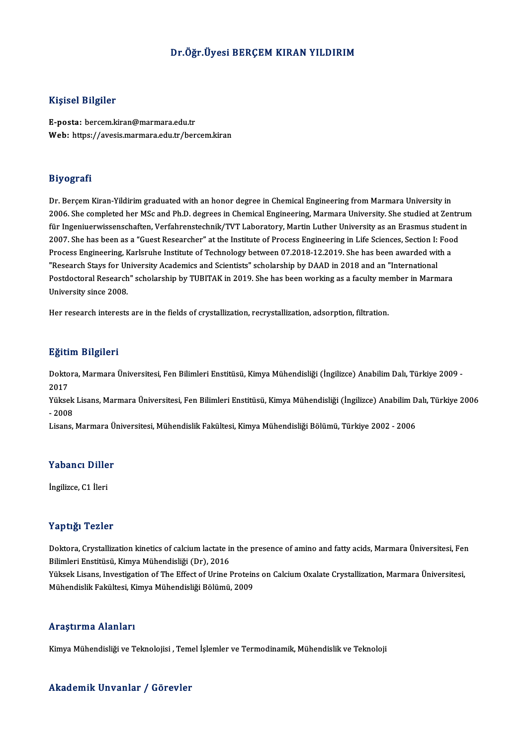## Dr.Öğr.Üyesi BERÇEM KIRAN YILDIRIM

## Kişisel Bilgiler

E-posta: bercem.kiran@marmara.edu.tr Web: https://avesis.marmara.edu.tr/bercem.kiran

### Biyografi

Dr. Berçem Kiran-Yildirim graduated with an honor degree in Chemical Engineering from Marmara University in 2006. She completed her MSc and Ph.D. degrees in Chemical Engineering, Marmara University. She studied at Zentrum Dr. Berçem Kiran-Yildirim graduated with an honor degree in Chemical Engineering from Marmara University in<br>2006. She completed her MSc and Ph.D. degrees in Chemical Engineering, Marmara University. She studied at Zentrum<br> 2006. She completed her MSc and Ph.D. degrees in Chemical Engineering, Marmara University. She studied at Zentr<br>für Ingeniuerwissenschaften, Verfahrenstechnik/TVT Laboratory, Martin Luther University as an Erasmus student<br> für Ingeniuerwissenschaften, Verfahrenstechnik/TVT Laboratory, Martin Luther University as an Erasmus studer<br>2007. She has been as a "Guest Researcher" at the Institute of Process Engineering in Life Sciences, Section I: F 2007. She has been as a "Guest Researcher" at the Institute of Process Engineering in Life Sciences, Section I: Food<br>Process Engineering, Karlsruhe Institute of Technology between 07.2018-12.2019. She has been awarded with Postdoctoral Research" scholarship by TUBITAK in 2019. She has been working as a faculty member in Marmara<br>University since 2008. "Research Stays for University Academics and Scientists" scholarship by DAAD in 2018 and an "International

Her research interests are in the fields of crystallization, recrystallization, adsorption, filtration.

## Eğitim Bilgileri

**Eğitim Bilgileri**<br>Doktora, Marmara Üniversitesi, Fen Bilimleri Enstitüsü, Kimya Mühendisliği (İngilizce) Anabilim Dalı, Türkiye 2009 -<br>2017 ngres<br>Dokto<br>2017<br><sup>Vülsse</sup> Doktora, Marmara Üniversitesi, Fen Bilimleri Enstitüsü, Kimya Mühendisliği (İngilizce) Anabilim Dalı, Türkiye 2009 -<br>2017<br>Yüksek Lisans, Marmara Üniversitesi, Fen Bilimleri Enstitüsü, Kimya Mühendisliği (İngilizce) Anabili

2017<br>Yüksek Lisans, Marmara Üniversitesi, Fen Bilimleri Enstitüsü, Kimya Mühendisliği (İngilizce) Anabilim Dalı, Türkiye 2006<br>- 2008

Lisans,MarmaraÜniversitesi,MühendislikFakültesi,KimyaMühendisliğiBölümü,Türkiye 2002 -2006

## Lisans, marmara u<br>Yabancı Diller Y<mark>abancı Dille</mark><br>İngilizce, C1 İleri

## İngilizce, C1 İleri<br>Yaptığı Tezler

Yaptığı Tezler<br>Doktora, Crystallization kinetics of calcium lactate in the presence of amino and fatty acids, Marmara Üniversitesi, Fen<br>Bilimlori Enstitüsü, Kimya Mühandisliği (Dr), 2016 1 ap 1321 - 2211<br>Doktora, Crystallization kinetics of calcium lactate in<br>Bilimleri Enstitüsü, Kimya Mühendisliği (Dr), 2016<br>Vülsek Lisans, Investisation of The Effect of Urine I Doktora, Crystallization kinetics of calcium lactate in the presence of amino and fatty acids, Marmara Üniversitesi, Fer<br>Bilimleri Enstitüsü, Kimya Mühendisliği (Dr), 2016<br>Yüksek Lisans, Investigation of The Effect of Urin

Bilimleri Enstitüsü, Kimya Mühendisliği (Dr), 2016<br>Yüksek Lisans, Investigation of The Effect of Urine Proteins on Calcium Oxalate Crystallization, Marmara Üniversitesi,<br>Mühendislik Fakültesi, Kimya Mühendisliği Bölümü, 20

### Araştırma Alanları

Kimya Mühendisliği ve Teknolojisi , Temel İşlemler ve Termodinamik, Mühendislik ve Teknoloji

### Akademik Unvanlar / Görevler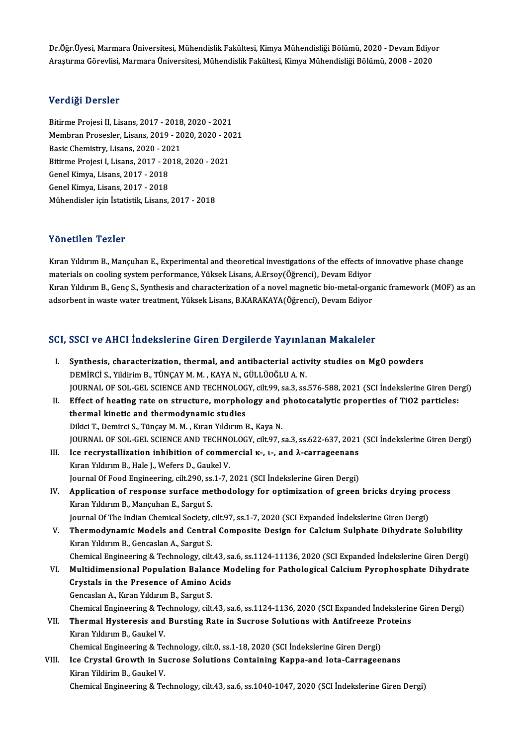Dr.Öğr.Üyesi, Marmara Üniversitesi, Mühendislik Fakültesi, Kimya Mühendisliği Bölümü, 2020 - Devam Ediyor<br>Arastuma Görevlisi, Marmara Üniversitesi, Mühendislik Fakültesi, Kimya Mühendisliği Bölümü, 2009 - 2020 Dr.Öğr.Üyesi, Marmara Üniversitesi, Mühendislik Fakültesi, Kimya Mühendisliği Bölümü, 2020 - Devam Ediyo<br>Araştırma Görevlisi, Marmara Üniversitesi, Mühendislik Fakültesi, Kimya Mühendisliği Bölümü, 2008 - 2020 Araştırma Görevlisi, Marmara Üniversitesi, Mühendislik Fakültesi, Kimya Mühendisliği Bölümü, 2008 - 2020<br>Verdiği Dersler

Verdiği Dersler<br>Bitirme Projesi II, Lisans, 2017 - 2018, 2020 - 2021<br>Membran Prosesler, Lisans, 2019, 2020, 2020, 202 Vor digi Dorbior<br>Bitirme Projesi II, Lisans, 2017 - 2018, 2020 - 2021<br>Membran Prosesler, Lisans, 2019 - 2020, 2020 - 2021<br>Pasis Chemistry, Lisans, 2020, 2021 Bitirme Projesi II, Lisans, 2017 - 2018<br>Membran Prosesler, Lisans, 2019 - 20<br>Basic Chemistry, Lisans, 2020 - 2021<br>Bitirme Projesi I, Lisans, 2017 - 2018 Membran Prosesler, Lisans, 2019 - 2020, 2020 - 2021<br>Basic Chemistry, Lisans, 2020 - 2021<br>Bitirme Projesi I, Lisans, 2017 - 2018, 2020 - 2021<br>Genel Kimya, Lisans, 2017 - 2018 Basic Chemistry, Lisans, 2020 - 2021<br>Bitirme Projesi I, Lisans, 2017 - 2018<br>Genel Kimya, Lisans, 2017 - 2018<br>Genel Kimya, Lisans, 2017 - 2018 Bitirme Projesi I, Lisans, 2017 - 2018, 2020 - 2021 Mühendisler için İstatistik, Lisans, 2017 - 2018

## Yönetilen Tezler

Kıran Yıldırım B., Mançuhan E., Experimental and theoretical investigations of the effects of innovative phase change materich materials oncorrections of the effects of<br>Kıran Yıldırım B., Mançuhan E., Experimental and theoretical investigations of the effects of<br>materials on cooling system performance, Yüksek Lisans, A.Ersoy(Öğrenci), Dev Kıran Yıldırım B., Genç S., Synthesis and characterization of a novel magnetic bio-metal-organic framework (MOF) as an<br>adsorbent in waste water treatment, Yüksek Lisans, B.KARAKAYA(Öğrenci), Devam Ediyor materials on cooling system performance, Yüksek Lisans, A.Ersoy(Öğrenci), Devam Ediyor<br>Kıran Yıldırım B., Genç S., Synthesis and characterization of a novel magnetic bio-metal-orga<br>adsorbent in waste water treatment, Yükse

# aasorbent in waste water treatment, ruksek Lisans, B.KARAKATA(Ogrenci), Devam Ediyor<br>SCI, SSCI ve AHCI İndekslerine Giren Dergilerde Yayınlanan Makaleler

|       | SCI, SSCI ve AHCI İndekslerine Giren Dergilerde Yayınlanan Makaleler                                          |
|-------|---------------------------------------------------------------------------------------------------------------|
| L.    | Synthesis, characterization, thermal, and antibacterial activity studies on MgO powders                       |
|       | DEMİRCİ S., Yildirim B., TÜNÇAY M. M., KAYA N., GÜLLÜOĞLU A. N.                                               |
|       | JOURNAL OF SOL-GEL SCIENCE AND TECHNOLOGY, cilt.99, sa.3, ss.576-588, 2021 (SCI İndekslerine Giren Dergi)     |
| Н.    | Effect of heating rate on structure, morphology and photocatalytic properties of TiO2 particles:              |
|       | thermal kinetic and thermodynamic studies                                                                     |
|       | Dikici T., Demirci S., Tünçay M. M., Kıran Yıldırım B., Kaya N.                                               |
|       | JOURNAL OF SOL-GEL SCIENCE AND TECHNOLOGY, cilt.97, sa.3, ss.622-637, 2021 (SCI İndekslerine Giren Dergi)     |
| III.  | Ice recrystallization inhibition of commercial K-, L-, and $\lambda$ -carrageenans                            |
|       | Kıran Yıldırım B., Hale J., Wefers D., Gaukel V.                                                              |
|       | Journal Of Food Engineering, cilt.290, ss.1-7, 2021 (SCI Indekslerine Giren Dergi)                            |
| IV.   | Application of response surface methodology for optimization of green bricks drying process                   |
|       | Kıran Yıldırım B., Mançuhan E., Sargut S.                                                                     |
|       | Journal Of The Indian Chemical Society, cilt.97, ss.1-7, 2020 (SCI Expanded İndekslerine Giren Dergi)         |
| V.    | Thermodynamic Models and Central Composite Design for Calcium Sulphate Dihydrate Solubility                   |
|       | Kıran Yıldırım B., Gencaslan A., Sargut S.                                                                    |
|       | Chemical Engineering & Technology, cilt.43, sa.6, ss.1124-11136, 2020 (SCI Expanded İndekslerine Giren Dergi) |
| VI.   | Multidimensional Population Balance Modeling for Pathological Calcium Pyrophosphate Dihydrate                 |
|       | Crystals in the Presence of Amino Acids                                                                       |
|       | Gencaslan A., Kıran Yıldırım B., Sargut S.                                                                    |
|       | Chemical Engineering & Technology, cilt.43, sa.6, ss.1124-1136, 2020 (SCI Expanded İndekslerine Giren Dergi)  |
| VII.  | Thermal Hysteresis and Bursting Rate in Sucrose Solutions with Antifreeze Proteins                            |
|       | Kıran Yıldırım B., Gaukel V.                                                                                  |
|       | Chemical Engineering & Technology, cilt.0, ss.1-18, 2020 (SCI Indekslerine Giren Dergi)                       |
| VIII. | Ice Crystal Growth in Sucrose Solutions Containing Kappa-and Iota-Carrageenans                                |
|       | Kiran Yildirim B., Gaukel V.                                                                                  |
|       | Chemical Engineering & Technology, cilt.43, sa.6, ss.1040-1047, 2020 (SCI Indekslerine Giren Dergi)           |
|       |                                                                                                               |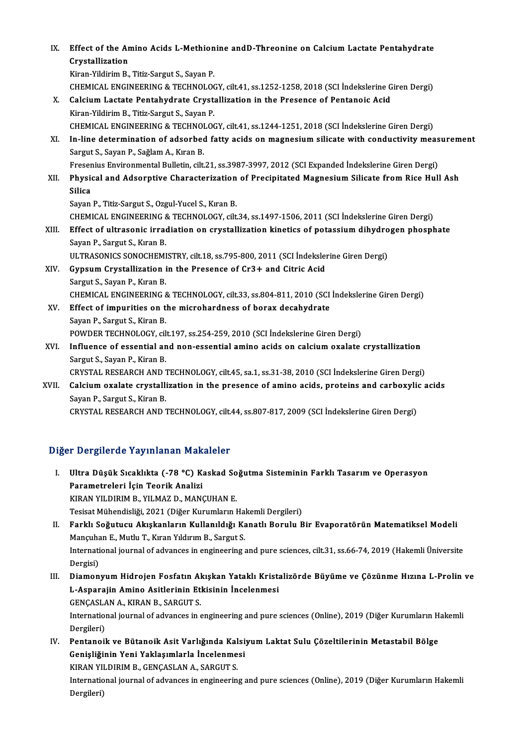| IX.   | Effect of the Amino Acids L-Methionine and D-Threonine on Calcium Lactate Pentahydrate                |
|-------|-------------------------------------------------------------------------------------------------------|
|       | Crystallization                                                                                       |
|       | Kiran-Yildirim B., Titiz-Sargut S., Sayan P.                                                          |
|       | CHEMICAL ENGINEERING & TECHNOLOGY, cilt41, ss.1252-1258, 2018 (SCI Indekslerine Giren Dergi)          |
| Х.    | Calcium Lactate Pentahydrate Crystallization in the Presence of Pentanoic Acid                        |
|       | Kiran-Yildirim B., Titiz-Sargut S., Sayan P.                                                          |
|       | CHEMICAL ENGINEERING & TECHNOLOGY, cilt41, ss.1244-1251, 2018 (SCI İndekslerine Giren Dergi)          |
| XI.   | In-line determination of adsorbed fatty acids on magnesium silicate with conductivity measurement     |
|       | Sargut S., Sayan P., Sağlam A., Kıran B.                                                              |
|       | Fresenius Environmental Bulletin, cilt.21, ss.3987-3997, 2012 (SCI Expanded İndekslerine Giren Dergi) |
| XII.  | Physical and Adsorptive Characterization of Precipitated Magnesium Silicate from Rice Hull Ash        |
|       | <b>Silica</b>                                                                                         |
|       | Sayan P., Titiz-Sargut S., Ozgul-Yucel S., Kıran B.                                                   |
|       | CHEMICAL ENGINEERING & TECHNOLOGY, cilt.34, ss.1497-1506, 2011 (SCI İndekslerine Giren Dergi)         |
| XIII. | Effect of ultrasonic irradiation on crystallization kinetics of potassium dihydrogen phosphate        |
|       | Sayan P., Sargut S., Kıran B.                                                                         |
|       | ULTRASONICS SONOCHEMISTRY, cilt.18, ss.795-800, 2011 (SCI Indekslerine Giren Dergi)                   |
| XIV.  | Gypsum Crystallization in the Presence of Cr3+ and Citric Acid                                        |
|       | Sargut S., Sayan P., Kıran B.                                                                         |
|       | CHEMICAL ENGINEERING & TECHNOLOGY, cilt.33, ss.804-811, 2010 (SCI İndekslerine Giren Dergi)           |
| XV.   | Effect of impurities on the microhardness of borax decahydrate                                        |
|       | Sayan P., Sargut S., Kiran B.                                                                         |
|       | POWDER TECHNOLOGY, cilt.197, ss.254-259, 2010 (SCI İndekslerine Giren Dergi)                          |
| XVI.  | Influence of essential and non-essential amino acids on calcium oxalate crystallization               |
|       | Sargut S., Sayan P., Kiran B.                                                                         |
|       | CRYSTAL RESEARCH AND TECHNOLOGY, cilt.45, sa.1, ss.31-38, 2010 (SCI İndekslerine Giren Dergi)         |
| XVII. | Calcium oxalate crystallization in the presence of amino acids, proteins and carboxylic acids         |
|       | Sayan P., Sargut S., Kiran B.                                                                         |
|       | CRYSTAL RESEARCH AND TECHNOLOGY, cilt.44, ss.807-817, 2009 (SCI İndekslerine Giren Dergi)             |
|       |                                                                                                       |

## Diğer Dergilerde Yayınlanan Makaleler

- I. Ultra Düşük Sıcaklıkta (-78 °C) Kaskad Soğutma Sisteminin Farklı Tasarım ve Operasyon Parametreleri İçin Teorik Analizi KIRAN YILDIRIM B., YILMAZ D., MANÇUHAN E. Tesisat Mühendisliği, 2021 (Diğer Kurumların Hakemli Dergileri)
- II. Farklı Soğutucu Akışkanların Kullanıldığı Kanatlı Borulu Bir Evaporatörün Matematiksel Modeli Tesisat Mühendisliği, 2021 (Diğer Kurumların Ha<br>Farklı Soğutucu Akışkanların Kullanıldığı Ka<br>Mançuhan E., Mutlu T., Kıran Yıldırım B., Sargut S.<br>International journal of advances in engineering s International journal of advances in engineering and pure sciences, cilt.31, ss.66-74, 2019 (Hakemli Üniversite<br>Dergisi) Mançuha<br>Internati<br>Dergisi)<br>Diaman International journal of advances in engineering and pure sciences, cilt.31, ss.66-74, 2019 (Hakemli Üniversite<br>Dergisi)<br>III. Diamonyum Hidrojen Fosfatın Akışkan Yataklı Kristalizörde Büyüme ve Çözünme Hızına L-Prolin ve<br>I
- Dergisi)<br>Diamonyum Hidrojen Fosfatın Akışkan Yataklı Krista<br>L-Asparajin Amino Asitlerinin Etkisinin İncelenmesi<br>CENCASLAN A, KIRAN R, SARCUTS Diamonyum Hidrojen Fosfatın Al<br>L-Asparajin Amino Asitlerinin Eti<br>GENÇASLAN A., KIRAN B., SARGUT S.<br>International journal of advances in a L-Asparajin Amino Asitlerinin Etkisinin İncelenmesi<br>GENÇASLAN A., KIRAN B., SARGUT S.<br>International journal of advances in engineering and pure sciences (Online), 2019 (Diğer Kurumların Hakemli<br>Persileri) GENÇASLA<br>Internation<br>Dergileri)<br>Pentaneil

International journal of advances in engineering and pure sciences (Online), 2019 (Diğer Kurumların H<br>Dergileri)<br>IV. Pentanoik ve Bütanoik Asit Varlığında Kalsiyum Laktat Sulu Çözeltilerinin Metastabil Bölge<br>Conisliğinin Y

Dergileri)<br>Pentanoik ve Bütanoik Asit Varlığında Kalsi<br>Genişliğinin Yeni Yaklaşımlarla İncelenmesi<br>KIRAN VILDIPIM B. GENÇASI AN A. SARCITES Pentanoik ve Bütanoik Asit Varlığında Kal<br>Genişliğinin Yeni Yaklaşımlarla İncelenme<br>KIRAN YILDIRIM B., GENÇASLAN A., SARGUT S.<br>International journal of advances in ongineerin

Genişliğinin Yeni Yaklaşımlarla İncelenmesi<br>KIRAN YILDIRIM B., GENÇASLAN A., SARGUT S.<br>International journal of advances in engineering and pure sciences (Online), 2019 (Diğer Kurumların Hakemli KIRAN YII<br>Internatio<br>Dergileri)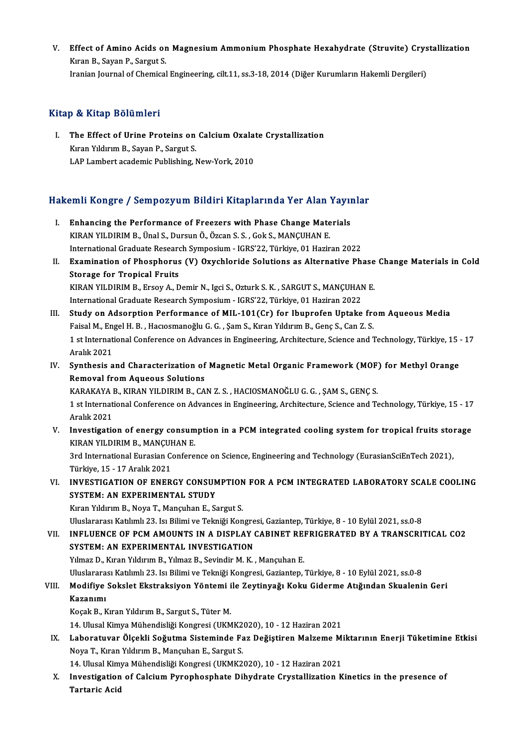V. Effect of Amino Acids on Magnesium Ammonium Phosphate Hexahydrate (Struvite) Crystallization<br>Kusa B. Savan B. Sargut S. Effect of Amino Acids or<br>Kıran B., Sayan P., Sargut S.<br>Iranian Journal of Chamisal <mark>Effect of Amino Acids on Magnesium Ammonium Phosphate Hexahydrate (Struvite) Crys</mark><br>Kıran B., Sayan P., Sargut S.<br>Iranian Journal of Chemical Engineering, cilt.11, ss.3-18, 2014 (Diğer Kurumların Hakemli Dergileri) Iranian Journal of Chemical Engineering, cilt.11, ss.3-18, 2014 (Diğer Kurumların Hakemli Dergileri)<br>Kitap & Kitap Bölümleri

Itap & Kitap Bölümleri<br>I. The Effect of Urine Proteins on Calcium Oxalate Crystallization The Effect of Urine Proteins on<br>Kıran Yıldırım B., Sayan P., Sargut S.<br>LAB Lambart acadamia Bublishing. L The Effect of Urine Proteins on Calcium Oxala<br>Kıran Yıldırım B., Sayan P., Sargut S.<br>LAP Lambert academic Publishing, New-York, 2010

# LAP Lambert academic Publishing, New-York, 2010<br>Hakemli Kongre / Sempozyum Bildiri Kitaplarında Yer Alan Yayınlar

akemli Kongre / Sempozyum Bildiri Kitaplarında Yer Alan Yayın<br>I. Enhancing the Performance of Freezers with Phase Change Materials<br>KIRAN VILDIRIM B. Ünal S. Dursun Ö. Özsen S. S. Gak S. MANGUHAN E Enhancing the Performance of Freezers with Phase Change Mate<br>KIRAN YILDIRIM B., Ünal S., Dursun Ö., Özcan S. S., Gok S., MANÇUHAN E.<br>International Craduate Bessersh Sumnesium. ICBS'22. Türkiye 01 Herin Enhancing the Performance of Freezers with Phase Change Materials<br>KIRAN YILDIRIM B., Ünal S., Dursun Ö., Özcan S. S. , Gok S., MANÇUHAN E.<br>International Graduate Research Symposium - IGRS'22, Türkiye, 01 Haziran 2022<br>Exami KIRAN YILDIRIM B., Ünal S., Dursun Ö., Özcan S. S. , Gok S., MANÇUHAN E.<br>International Graduate Research Symposium - IGRS'22, Türkiye, 01 Haziran 2022<br>II. Examination of Phosphorus (V) Oxychloride Solutions as Alternative International Graduate Researd<br>Examination of Phosphorus<br>Storage for Tropical Fruits<br>FIRAN VILDIBIM P. Freev A. D Examination of Phosphorus (V) Oxychloride Solutions as Alternative Phase<br>Storage for Tropical Fruits<br>KIRAN YILDIRIM B., Ersoy A., Demir N., Igci S., Ozturk S. K. , SARGUT S., MANÇUHAN E.<br>International Croduate Besearch Sum Storage for Tropical Fruits<br>KIRAN YILDIRIM B., Ersoy A., Demir N., Igci S., Ozturk S. K. , SARGUT S., MANÇUHAN<br>International Graduate Research Symposium - IGRS'22, Türkiye, 01 Haziran 2022<br>Study on Adsorption Berformance o International Graduate Research Symposium - IGRS'22, Türkiye, 01 Haziran 2022<br>III. Study on Adsorption Performance of MIL-101(Cr) for Ibuprofen Uptake from Aqueous Media International Graduate Research Symposium - IGRS'22, Türkiye, 01 Haziran 2022<br>Study on Adsorption Performance of MIL-101(Cr) for Ibuprofen Uptake fro<br>Faisal M., Engel H. B. , Hacıosmanoğlu G. G. , Şam S., Kıran Yıldırım B. 1 st International Conference on Advances in Engineering, Architecture, Science and Technology, Türkiye, 15 - 17<br>Aralık 2021 Faisal M., En<br>1 st Internat<br>Aralık 2021<br>Sunthasis a I st International Conference on Advances in Engineering, Architecture, Science and Technology, Türkiye, 15<br>Aralık 2021<br>IV. Synthesis and Characterization of Magnetic Metal Organic Framework (MOF) for Methyl Orange<br>Remeval Aralık 2021<br>Synthesis and Characterization of<br>Removal from Aqueous Solutions<br>KARAKAYA R. KIRAN YU DIRIM R. CA Removal from Aqueous Solutions<br>KARAKAYA B., KIRAN YILDIRIM B., CAN Z. S. , HACIOSMANOĞLU G. G. , ŞAM S., GENÇ S. Removal from Aqueous Solutions<br>KARAKAYA B., KIRAN YILDIRIM B., CAN Z. S. , HACIOSMANOĞLU G. G. , ŞAM S., GENÇ S.<br>1 st International Conference on Advances in Engineering, Architecture, Science and Technology, Türkiye, 15 -KARAKAYA I<br>1 st Internat<br>Aralık 2021<br>Investisatis 1 st International Conference on Advances in Engineering, Architecture, Science and Technology, Türkiye, 15 - 17<br>Aralık 2021<br>V. Investigation of energy consumption in a PCM integrated cooling system for tropical fruits sto Aralık 2021<br>Investigation of energy consum<br>KIRAN YILDIRIM B., MANÇUHAN E.<br><sup>2nd International Eurosian Confore</sup> Investigation of energy consumption in a PCM integrated cooling system for tropical fruits sto:<br>KIRAN YILDIRIM B., MANÇUHAN E.<br>3rd International Eurasian Conference on Science, Engineering and Technology (EurasianSciEnTech KIRAN YILDIRIM B., MANÇUHAN E.<br>3rd International Eurasian Conference on Science, Engineering and Technology (EurasianSciEnTech 2021),<br>Türkiye, 15 - 17 Aralık 2021 3rd International Eurasian Conference on Science, Engineering and Technology (EurasianSciEnTech 2021),<br>Türkiye, 15 - 17 Aralık 2021<br>VI. INVESTIGATION OF ENERGY CONSUMPTION FOR A PCM INTEGRATED LABORATORY SCALE COOLING<br>SVST Türkiye, 15 - 17 Aralık 2021<br>INVESTIGATION OF ENERGY CONSUN<br>SYSTEM: AN EXPERIMENTAL STUDY<br>Kıran Vildinim B. Nova T. Manguban E. S SYSTEM: AN EXPERIMENTAL STUDY<br>Kıran Yıldırım B., Noya T., Mançuhan E., Sargut S. SYSTEM: AN EXPERIMENTAL STUDY<br>Kıran Yıldırım B., Noya T., Mançuhan E., Sargut S.<br>Uluslararası Katılımlı 23. Isı Bilimi ve Tekniği Kongresi, Gaziantep, Türkiye, 8 - 10 Eylül 2021, ss.0-8<br>INELUENCE OF RCM AMOUNTS IN A DISPLA VII. INFLUENCE OF PCM AMOUNTS IN A DISPLAY CABINET REFRIGERATED BY A TRANSCRITICAL CO2<br>SYSTEM: AN EXPERIMENTAL INVESTIGATION Uluslararası Katılımlı 23. Isı Bilimi ve Tekniği Kongre<br>INFLUENCE OF PCM AMOUNTS IN A DISPLAY (<br>SYSTEM: AN EXPERIMENTAL INVESTIGATION<br>Vilmez D. Kıran Yıldırım B. Vılmez B. Sovindir M. K Yılmaz D., Kıran Yıldırım B., Yılmaz B., Sevindir M. K., Mançuhan E. Uluslararası Katılımlı 23. Isı Bilimi ve Tekniği Kongresi, Gaziantep, Türkiye, 8 - 10 Eylül 2021, ss.0-8 Yılmaz D., Kıran Yıldırım B., Yılmaz B., Sevindir M. K. , Mançuhan E.<br>Uluslararası Katılımlı 23. Isı Bilimi ve Tekniği Kongresi, Gaziantep, Türkiye, 8 - 10 Eylül 2021, ss.0-8<br>VIII. Modifiye Sokslet Ekstraksiyon Yöntemi Uluslarara<br>Modifiye<br>Kazanımı<br><sup>Kocolı Bu</sub></sup> Modifiye Sokslet Ekstraksiyon Yöntemi i<br>Kazanımı<br>Koçak B., Kıran Yıldırım B., Sargut S., Tüter M.<br>14. Ulucel Kimyo Mühandieliği Kongresi (UKM Kazanımı<br>Koçak B., Kıran Yıldırım B., Sargut S., Tüter M.<br>14. Ulusal Kimya Mühendisliği Kongresi (UKMK2020), 10 - 12 Haziran 2021<br>Labaratuyar Ölsekli Seğutme Sisteminde Far Değistiren Malzeme Mi Koçak B., Kıran Yıldırım B., Sargut S., Tüter M.<br>14. Ulusal Kimya Mühendisliği Kongresi (UKMK2020), 10 - 12 Haziran 2021<br>IX. Laboratuvar Ölçekli Soğutma Sisteminde Faz Değiştiren Malzeme Miktarının Enerji Tüketimine Et 14. Ulusal Kimya Mühendisliği Kongresi (UKMK2<br>Laboratuvar Ölçekli Soğutma Sisteminde Fa<br>Noya T., Kıran Yıldırım B., Mançuhan E., Sargut S.<br>14. Ulusal Kimya Mühandisliği Kongresi (UKMK2 Laboratuvar Ölçekli Soğutma Sisteminde Faz Değiştiren Malzeme Mi<br>Noya T., Kıran Yıldırım B., Mançuhan E., Sargut S.<br>14. Ulusal Kimya Mühendisliği Kongresi (UKMK2020), 10 - 12 Haziran 2021<br>Investigation of Calsium Buranbesp X. Investigation of Calcium Pyrophosphate Dihydrate Crystallization Kinetics in the presence of Tartaric Acid 14. Ulusal Kim<br>I<mark>nvestigation</mark><br>Tartaric Acid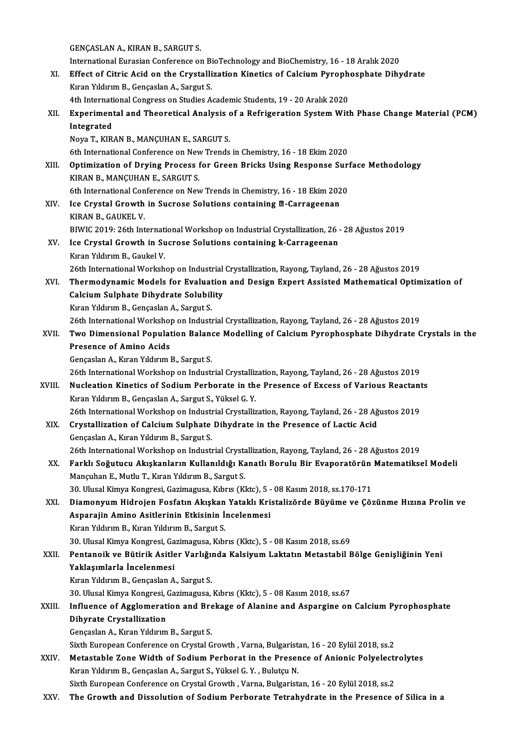GENÇASLAN A., KIRAN B., SARGUT S.

GENÇASLAN A., KIRAN B., SARGUT S.<br>International Eurasian Conference on BioTechnology and BioChemistry, 16 - 18 Aralık 2020<br>Effect of Citric Acid on the Caustallization Kinetics of Calcium Buranhosphate Dihu

- GENÇASLAN A., KIRAN B., SARGUT S.<br>International Eurasian Conference on BioTechnology and BioChemistry, 16 18 Aralık 2020<br>XI. Effect of Citric Acid on the Crystallization Kinetics of Calcium Pyrophosphate Dihydrate<br>Kusa V International Eurasian Conference on Bin<br>Effect of Citric Acid on the Crystalli<br>Kıran Yıldırım B., Gençaslan A., Sargut S.<br>Ath International Congress on Studies A. Effect of Citric Acid on the Crystallization Kinetics of Calcium Pyroph<br>Kıran Yıldırım B., Gençaslan A., Sargut S.<br>4th International Congress on Studies Academic Students, 19 - 20 Aralık 2020<br>Experimental and Theoratical A
	-
- Kıran Yıldırım B., Gençaslan A., Sargut S.<br>4th International Congress on Studies Academic Students, 19 20 Aralık 2020<br>XII. Experimental and Theoretical Analysis of a Refrigeration System With Phase Change Material (P 4th International Congress on Studies Academic Students, 19 - 20 Aralık 2020<br>Experimental and Theoretical Analysis of a Refrigeration System Wit<br>Integrated<br>Nova T., KIRAN B., MANÇUHAN E., SARGUT S. Experimental and Theoretical Analysis<br>Integrated<br>Noya T., KIRAN B., MANÇUHAN E., SARGUT S.<br>Eth International Conference on New Trands 6th International Conference on New Trends in Chemistry, 16 - 18 Ekim 2020 Noya T., KIRAN B., MANÇUHAN E., SARGUT S.<br>6th International Conference on New Trends in Chemistry, 16 - 18 Ekim 2020<br>XIII. Optimization of Drying Process for Green Bricks Using Response Surface Methodology<br>KIRAN B. MAN 6th International Conference on New<br>Optimization of Drying Process 1<br>KIRAN B., MANÇUHAN E., SARGUT S. Optimization of Drying Process for Green Bricks Using Response Suri<br>KIRAN B., MANÇUHAN E., SARGUT S.<br>6th International Conference on New Trends in Chemistry, 16 - 18 Ekim 2020<br>Jee Crystel Crewth in Suerose Solutions contai KIRAN B., MANÇUHAN E., SARGUT S.<br>6th International Conference on New Trends in Chemistry, 16 - 18 Ekim 202<br>XIV. Ice Crystal Growth in Sucrose Solutions containing @-Carrageenan<br>KIDAN B. CAUKEL V. 6th International Con<br>Ice Crystal Growth<br>KIRAN B., GAUKEL V.<br>PIWIC 2010: 26th Int Ice Crystal Growth in Sucrose Solutions containing <mark>@-Carrageenan</mark><br>KIRAN B., GAUKEL V.<br>BIWIC 2019: 26th International Workshop on Industrial Crystallization, 26 - 28 Ağustos 2019<br>Ice Crystal Crowth in Sucrose Solutions con KIRAN B., GAUKEL V.<br>BIWIC 2019: 26th International Workshop on Industrial Crystallization, 26 -<br>XV. Ice Crystal Growth in Sucrose Solutions containing k-Carrageenan<br>Kusa Viduum B. Gaukal V. BIWIC 2019: 26th Internati<br>Ice Crystal Growth in Su<br>Kıran Yıldırım B., Gaukel V.<br>26th International Werksh 26th International Workshop on Industrial Crystallian ing k-Carrageenan<br>Kuran Yıldırım B., Gaukel V.<br>26th International Workshop on Industrial Crystallization, Rayong, Tayland, 26 - 28 Ağustos 2019 Kıran Yıldırım B., Gaukel V.<br>26th International Workshop on Industrial Crystallization, Rayong, Tayland, 26 - 28 Ağustos 2019<br>XVI. Thermodynamic Models for Evaluation and Design Expert Assisted Mathematical Optimizatio 26th International Workshop on Industrial<br>Thermodynamic Models for Evaluation<br>Calcium Sulphate Dihydrate Solubility<br><sup>Lynon</sup> Vilduum B. Conseelan A. Songut S. Thermodynamic Models for Evaluat<br>Calcium Sulphate Dihydrate Solubil<br>Kıran Yıldırım B., Gençaslan A., Sargut S.<br>26th International Werkshop on Industi 21 **Calcium Sulphate Dihydrate Solubility<br>26th International Workshop on Industrial Crystallization, Rayong, Tayland, 26 - 28 Ağustos 2019**<br>26th International Workshop on Industrial Crystallization, Rayong, Tayland, 26 - 2 Kıran Yıldırım B., Gençaslan A., Sargut S.<br>26th International Workshop on Industrial Crystallization, Rayong, Tayland, 26 - 28 Ağustos 2019<br>XVII. Two Dimensional Population Balance Modelling of Calcium Pyrophosphate Di 26th International Workshop<br>Two Dimensional Populat<br>Presence of Amino Acids<br>Concaskan A. Kuan Yukuwun Two Dimensional Population Balan<br>Presence of Amino Acids<br>Gençaslan A., Kıran Yıldırım B., Sargut S.<br>26th International Werkshop on Industi Presence of Amino Acids<br>Gençaslan A., Kıran Yıldırım B., Sargut S.<br>26th International Workshop on Industrial Crystallization, Rayong, Tayland, 26 - 28 Ağustos 2019<br>Nugleation Kineties of Sodium Berberate in the Bresones of Gençaslan A., Kıran Yıldırım B., Sargut S.<br>26th International Workshop on Industrial Crystallization, Rayong, Tayland, 26 - 28 Ağustos 2019<br>XVIII. Nucleation Kinetics of Sodium Perborate in the Presence of Excess of Variou 26th International Workshop on Industrial Crystalliz<br>Nucleation Kinetics of Sodium Perborate in the<br>Kıran Yıldırım B., Gençaslan A., Sargut S., Yüksel G. Y.<br>26th International Werkshop on Industrial Crystallis Nucleation Kinetics of Sodium Perborate in the Presence of Excess of Various Reactant<br>Kıran Yıldırım B., Gençaslan A., Sargut S., Yüksel G. Y.<br>26th International Workshop on Industrial Crystallization, Rayong, Tayland, 26 Kıran Yıldırım B., Gençaslan A., Sargut S., Yüksel G. Y.<br>26th International Workshop on Industrial Crystallization, Rayong, Tayland, 26 - 28 Ağ<br>XIX. Crystallization of Calcium Sulphate Dihydrate in the Presence of Lactic A 26th International Workshop on Indust<br>Crystallization of Calcium Sulphate<br>Gençaslan A., Kıran Yıldırım B., Sargut S.<br>26th International Werkshop on Indust Crystallization of Calcium Sulphate Dihydrate in the Presence of Lactic Acid<br>Gençaslan A., Kıran Yıldırım B., Sargut S.<br>26th International Workshop on Industrial Crystallization, Rayong, Tayland, 26 - 28 Ağustos 2019<br>Farkl Gençaslan A., Kıran Yıldırım B., Sargut S.<br>26th International Workshop on Industrial Crystallization, Rayong, Tayland, 26 - 28 Ağustos 2019<br>XX. Farklı Soğutucu Akışkanların Kullanıldığı Kanatlı Borulu Bir Evaporatörün Ma 26th International Workshop on Industrial Crysta<br>Farklı Soğutucu Akışkanların Kullanıldığı Ka<br>Mançuhan E., Mutlu T., Kıran Yıldırım B., Sargut S.<br>20 Hlugal Kimua Kongnesi Carimagues Kıbus (K Farklı Soğutucu Akışkanların Kullanıldığı Kanatlı Borulu Bir Evaporatörün<br>Mançuhan E., Mutlu T., Kıran Yıldırım B., Sargut S.<br>30. Ulusal Kimya Kongresi, Gazimagusa, Kıbrıs (Kktc), 5 - 08 Kasım 2018, ss.170-171<br>Diamonuum Hi Mançuhan E., Mutlu T., Kıran Yıldırım B., Sargut S.<br>30. Ulusal Kimya Kongresi, Gazimagusa, Kıbrıs (Kktc), 5 - 08 Kasım 2018, ss.170-171<br>XXI. Diamonyum Hidrojen Fosfatın Akışkan Yataklı Kristalizörde Büyüme ve Çözünme H 30. Ulusal Kimya Kongresi, Gazimagusa, Kıbrıs (Kktc), 5 - 08 Kasım 2018, ss.170-171 Kıran Yıldırım B., Kıran Yıldırım B., Sargut S. 30.UlusalKimyaKongresi,Gazimagusa,Kıbrıs (Kktc),5 -08Kasım2018, ss.69 Kıran Yıldırım B., Kıran Yıldırım B., Sargut S.<br>30. Ulusal Kimya Kongresi, Gazimagusa, Kıbrıs (Kktc), 5 - 08 Kasım 2018, ss.69<br>XXII. Pentanoik ve Bütirik Asitler Varlığında Kalsiyum Laktatın Metastabil Bölge Genişliğin Yaklaşımlarla İncelenmesi Pentanoik ve Bütirik Asitler Varlığı<br>Yaklaşımlarla İncelenmesi<br>Kıran Yıldırım B., Gençaslan A., Sargut S.<br>20 Hlucel Kimus Kongresi Cerimegues 30. Ulusal Kimya Kongresi, Gazimagusa, Kıbrıs (Kktc), 5 - 08 Kasım 2018, ss.67 Kıran Yıldırım B., Gençaslan A., Sargut S.<br>30. Ulusal Kimya Kongresi, Gazimagusa, Kıbrıs (Kktc), 5 - 08 Kasım 2018, ss.67<br>XXIII. Influence of Agglomeration and Brekage of Alanine and Aspargine on Calcium Pyrophosphate<br>Diby 30. Ulusal Kimya Kongresi, (<br>Influence of Agglomerat<br>Dihyrate Crystallization<br>Congaslan A. Kusa Yılduum Influence of Agglomeration and Bre<br>Dihyrate Crystallization<br>Gençaslan A., Kıran Yıldırım B., Sargut S.<br>Siyth Euroneen Conference on Crystal C Dihyrate Crystallization<br>Gençaslan A., Kıran Yıldırım B., Sargut S.<br>Sixth European Conference on Crystal Growth , Varna, Bulgaristan, 16 - 20 Eylül 2018, ss.2<br>Metastabla Zana Width of Sodium Barbarat in the Presence of Ani Gençaslan A., Kıran Yıldırım B., Sargut S.<br>Sixth European Conference on Crystal Growth , Varna, Bulgaristan, 16 - 20 Eylül 2018, ss.2<br>XXIV. Metastable Zone Width of Sodium Perborat in the Presence of Anionic Polyelectrolyt Sixth European Conference on Crystal Growth , Varna, Bulgarist<br>Metastable Zone Width of Sodium Perborat in the Preser<br>Kıran Yıldırım B., Gençaslan A., Sargut S., Yüksel G. Y. , Bulutçu N.<br>Siyth European Conference on Cryst Metastable Zone Width of Sodium Perborat in the Presence of Anionic Polyelectrolytes<br>Kıran Yıldırım B., Gençaslan A., Sargut S., Yüksel G. Y. , Bulutçu N.<br>Sixth European Conference on Crystal Growth , Varna, Bulgaristan, 1 XXV. The Growth and Dissolution of Sodium Perborate Tetrahydrate in the Presence of Silica in a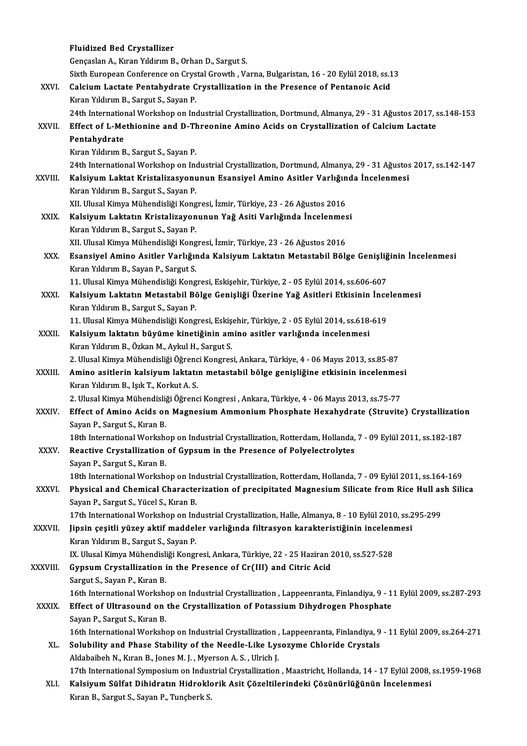|               | <b>Fluidized Bed Crystallizer</b>                                                                                                |
|---------------|----------------------------------------------------------------------------------------------------------------------------------|
|               | Gençaslan A., Kıran Yıldırım B., Orhan D., Sargut S.                                                                             |
|               | Sixth European Conference on Crystal Growth , Varna, Bulgaristan, 16 - 20 Eylül 2018, ss.13                                      |
| XXVI.         | Calcium Lactate Pentahydrate Crystallization in the Presence of Pentanoic Acid                                                   |
|               | Kıran Yıldırım B., Sargut S., Sayan P.                                                                                           |
|               | 24th International Workshop on Industrial Crystallization, Dortmund, Almanya, 29 - 31 Ağustos 2017, ss.148-153                   |
| XXVII.        | Effect of L-Methionine and D-Threonine Amino Acids on Crystallization of Calcium Lactate                                         |
|               | Pentahydrate                                                                                                                     |
|               | Kıran Yıldırım B., Sargut S., Sayan P.                                                                                           |
|               | 24th International Workshop on Industrial Crystallization, Dortmund, Almanya, 29 - 31 Ağustos 2017, ss.142-147                   |
| <b>XXVIII</b> | Kalsiyum Laktat Kristalizasyonunun Esansiyel Amino Asitler Varlığında İncelenmesi                                                |
|               | Kıran Yıldırım B., Sargut S., Sayan P.                                                                                           |
|               | XII. Ulusal Kimya Mühendisliği Kongresi, İzmir, Türkiye, 23 - 26 Ağustos 2016                                                    |
| XXIX.         | Kalsiyum Laktatın Kristalizayonunun Yağ Asiti Varlığında İncelenmesi                                                             |
|               | Kıran Yıldırım B., Sargut S., Sayan P.                                                                                           |
|               | XII. Ulusal Kimya Mühendisliği Kongresi, İzmir, Türkiye, 23 - 26 Ağustos 2016                                                    |
| XXX.          | Esansiyel Amino Asitler Varlığında Kalsiyum Laktatın Metastabil Bölge Genişliğinin İncelenmesi                                   |
|               | Kıran Yıldırım B., Sayan P., Sargut S.                                                                                           |
|               | 11. Ulusal Kimya Mühendisliği Kongresi, Eskişehir, Türkiye, 2 - 05 Eylül 2014, ss.606-607                                        |
| <b>XXXI</b>   | Kalsiyum Laktatın Metastabil Bölge Genişliği Üzerine Yağ Asitleri Etkisinin İncelenmesi                                          |
|               | Kıran Yıldırım B., Sargut S., Sayan P.                                                                                           |
|               | 11. Ulusal Kimya Mühendisliği Kongresi, Eskişehir, Türkiye, 2 - 05 Eylül 2014, ss.618-619                                        |
| XXXII.        | Kalsiyum laktatın büyüme kinetiğinin amino asitler varlığında incelenmesi                                                        |
|               | Kıran Yıldırım B., Özkan M., Aykul H., Sargut S.                                                                                 |
|               | 2. Ulusal Kimya Mühendisliği Öğrenci Kongresi, Ankara, Türkiye, 4 - 06 Mayıs 2013, ss.85-87                                      |
| XXXIII.       | Amino asitlerin kalsiyum laktatın metastabil bölge genişliğine etkisinin incelenmesi<br>Kıran Yıldırım B., Işık T., Korkut A. S. |
|               | 2. Ulusal Kimya Mühendisliği Öğrenci Kongresi, Ankara, Türkiye, 4 - 06 Mayıs 2013, ss.75-77                                      |
| <b>XXXIV</b>  | Effect of Amino Acids on Magnesium Ammonium Phosphate Hexahydrate (Struvite) Crystallization                                     |
|               | Sayan P., Sargut S., Kıran B.                                                                                                    |
|               | 18th International Workshop on Industrial Crystallization, Rotterdam, Hollanda, 7 - 09 Eylül 2011, ss.182-187                    |
| XXXV.         | Reactive Crystallization of Gypsum in the Presence of Polyelectrolytes                                                           |
|               | Sayan P., Sargut S., Kıran B.                                                                                                    |
|               | 18th International Workshop on Industrial Crystallization, Rotterdam, Hollanda, 7 - 09 Eylül 2011, ss.164-169                    |
| XXXVI.        | Physical and Chemical Characterization of precipitated Magnesium Silicate from Rice Hull ash Silica                              |
|               | Sayan P., Sargut S., Yücel S., Kıran B.                                                                                          |
|               | 17th International Workshop on Industrial Crystallization, Halle, Almanya, 8 - 10 Eylül 2010, ss.295-299                         |
| XXXVII.       | Jipsin çeşitli yüzey aktif maddeler varlığında filtrasyon karakteristiğinin incelenmesi                                          |
|               | Kıran Yıldırım B., Sargut S., Sayan P.                                                                                           |
|               | IX. Ulusal Kimya Mühendisliği Kongresi, Ankara, Türkiye, 22 - 25 Haziran 2010, ss.527-528                                        |
| XXXVIII.      | Gypsum Crystallization in the Presence of Cr(III) and Citric Acid                                                                |
|               | Sargut S., Sayan P., Kıran B.                                                                                                    |
|               | 16th International Workshop on Industrial Crystallization, Lappeenranta, Finlandiya, 9 - 11 Eylül 2009, ss.287-293               |
| <b>XXXIX</b>  | Effect of Ultrasound on the Crystallization of Potassium Dihydrogen Phosphate                                                    |
|               | Sayan P., Sargut S., Kıran B.                                                                                                    |
|               | 16th International Workshop on Industrial Crystallization , Lappeenranta, Finlandiya, 9 - 11 Eylül 2009, ss.264-271              |
| XL.           | Solubility and Phase Stability of the Needle-Like Lysozyme Chloride Crystals                                                     |
|               | Aldabaibeh N., Kıran B., Jones M. J., Myerson A. S., Ulrich J.                                                                   |
|               | 17th International Symposium on Industrial Crystallization, Maastricht, Hollanda, 14 - 17 Eylül 2008, ss.1959-1968               |
| XLI.          | Kalsiyum Sülfat Dihidratın Hidroklorik Asit Çözeltilerindeki Çözünürlüğünün İncelenmesi                                          |
|               | Kıran B., Sargut S., Sayan P., Tunçberk S.                                                                                       |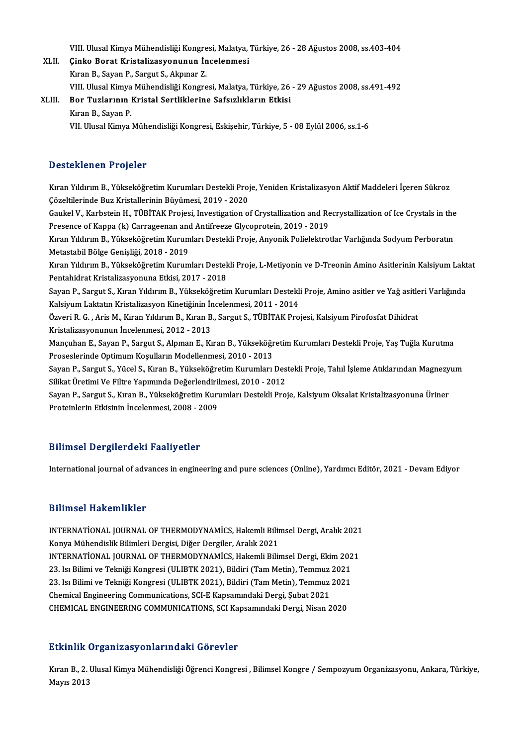VIII. Ulusal Kimya Mühendisliği Kongresi, Malatya, Türkiye, 26 - 28 Ağustos 2008, ss.403-404<br>Cinke Bonat Kristalirasyonunun İnselenmesi

VIII. Ulusal Kimya Mühendisliği Kongresi, Malatya,<br>XLII. Çinko Borat Kristalizasyonunun İncelenmesi<br>Kusa B. Savan B. Savayt S. Almyar Z. VIII. Ulusal Kimya Mühendisliği Kongre<br>**Çinko Borat Kristalizasyonunun İn**<br>Kıran B., Sayan P., Sargut S., Akpınar Z.<br>VIII. Ulusal Kimya Mühandialiği Kongre Çinko Borat Kristalizasyonunun İncelenmesi<br>Kıran B., Sayan P., Sargut S., Akpınar Z.<br>VIII. Ulusal Kimya Mühendisliği Kongresi, Malatya, Türkiye, 26 - 29 Ağustos 2008, ss.491-492<br>Bor Turlarının Kristal Sartliklarine Safarak Kıran B., Sayan P., Sargut S., Akpınar Z.<br>1980: VIII. Ulusal Kimya Mühendisliği Kongresi, Malatya, Türkiye, 26<br>26 XLIII. Bor Tuzlarının Kristal Sertliklerine Safsızlıkların Etkisi

VIII. Ulusal Kimya<br><mark>Bor Tuzlarının</mark> 1<br>Kıran B., Sayan P.<br><sup>VII. Hlusal Kimya.</sup> Bor Tuzlarının Kristal Sertliklerine Safsızlıkların Etkisi<br>Kıran B., Sayan P.<br>VII. Ulusal Kimya Mühendisliği Kongresi, Eskişehir, Türkiye, 5 - 08 Eylül 2006, ss.1-6

## Desteklenen Projeler

Desteklenen Projeler<br>Kıran Yıldırım B., Yükseköğretim Kurumları Destekli Proje, Yeniden Kristalizasyon Aktif Maddeleri İçeren Sükroz<br>Gözeltilerinde Bur Kristallerinin Büyümesi, 2019, 2020 Cossesiteiren i rejeter<br>Kıran Yıldırım B., Yükseköğretim Kurumları Destekli Proj<br>Çözeltilerinde Buz Kristallerinin Büyümesi, 2019 - 2020<br>Caultel V., Karbatein H., TüpiTAK Projeci, Investigation e Kıran Yıldırım B., Yükseköğretim Kurumları Destekli Proje, Yeniden Kristalizasyon Aktif Maddeleri İçeren Sükroz<br>Çözeltilerinde Buz Kristallerinin Büyümesi, 2019 - 2020<br>Gaukel V., Karbstein H., TÜBİTAK Projesi, Investigatio

Çözeltilerinde Buz Kristallerinin Büyümesi, 2019 - 2020<br>Gaukel V., Karbstein H., TÜBİTAK Projesi, Investigation of Crystallization and Re<br>Presence of Kappa (k) Carrageenan and Antifreeze Glycoprotein, 2019 - 2019<br>Kusa Vild Gaukel V., Karbstein H., TÜBİTAK Projesi, Investigation of Crystallization and Recrystallization of Ice Crystals in the<br>Presence of Kappa (k) Carrageenan and Antifreeze Glycoprotein, 2019 - 2019<br>Kıran Yıldırım B., Yükseköğ

Presence of Kappa (k) Carrageenan and Antifreeze Glycoprotein, 2019 - 2019<br>Kıran Yıldırım B., Yükseköğretim Kurumları Destekli Proje, Anyonik Polielektrotlar Varlığında Sodyum Perboratın<br>Metastabil Bölge Genişliği, 2018 - Kıran Yıldırım B., Yükseköğretim Kurumları Destekli Proje, Anyonik Polielektrotlar Varlığında Sodyum Perboratın<br>Metastabil Bölge Genişliği, 2018 - 2019<br>Kıran Yıldırım B., Yükseköğretim Kurumları Destekli Proje, L-Metiyonin

Metastabil Bölge Genişliği, 2018 - 2019<br>Kıran Yıldırım B., Yükseköğretim Kurumları Destek<br>Pentahidrat Kristalizasyonuna Etkisi, 2017 - 2018<br>Sayan B. Sangut S. Kuran Yıldınım B. Yükseköğretir Kıran Yıldırım B., Yükseköğretim Kurumları Destekli Proje, L-Metiyonin ve D-Treonin Amino Asitlerinin Kalsiyum Lakt<br>Pentahidrat Kristalizasyonuna Etkisi, 2017 - 2018<br>Sayan P., Sargut S., Kıran Yıldırım B., Yükseköğretim Ku

Pentahidrat Kristalizasyonuna Etkisi, 2017 - 2018<br>Sayan P., Sargut S., Kıran Yıldırım B., Yükseköğretim Kurumları Destekli Proje, Amino asitler ve Yağ asitleri Varlığında<br>Kalsiyum Laktatın Kristalizasyon Kinetiğinin İncele Sayan P., Sargut S., Kıran Yıldırım B., Yükseköğretim Kurumları Destekli Proje, Amino asitler ve Yağ asitle<br>Kalsiyum Laktatın Kristalizasyon Kinetiğinin İncelenmesi, 2011 - 2014<br>Özveri R. G. , Aris M., Kıran Yıldırım B., K

Kalsiyum Laktatın Kristalizasyon Kinetiğinin İr<br>Özveri R. G. , Aris M., Kıran Yıldırım B., Kıran B<br>Kristalizasyonunun İncelenmesi, 2012 - 2013<br>Manguban E. Savan B. Sargut S. Alpman E. Kı Özveri R. G. , Aris M., Kıran Yıldırım B., Kıran B., Sargut S., TÜBİTAK Projesi, Kalsiyum Pirofosfat Dihidrat<br>Kristalizasyonunun İncelenmesi, 2012 - 2013<br>Mançuhan E., Sayan P., Sargut S., Alpman E., Kıran B., Yükseköğretim

Kristalizasyonunun İncelenmesi, 2012 - 2013<br>Mançuhan E., Sayan P., Sargut S., Alpman E., Kıran B., Yükseköğr<br>Proseslerinde Optimum Koşulların Modellenmesi, 2010 - 2013<br>Sayan B. Sargut S. Yücel S. Kıran B. Yükseköğretim Kur Mançuhan E., Sayan P., Sargut S., Alpman E., Kıran B., Yükseköğretim Kurumları Destekli Proje, Yaş Tuğla Kurutma<br>Proseslerinde Optimum Koşulların Modellenmesi, 2010 - 2013<br>Sayan P., Sargut S., Yücel S., Kıran B., Yükseköğr

Proseslerinde Optimum Koşulların Modellenmesi, 2010 - 2013<br>Sayan P., Sargut S., Yücel S., Kıran B., Yükseköğretim Kurumları Des<br>Silikat Üretimi Ve Filtre Yapımında Değerlendirilmesi, 2010 - 2012<br>Sayan B. Sargut S. Kuran B. Sayan P., Sargut S., Yücel S., Kıran B., Yükseköğretim Kurumları Destekli Proje, Tahıl İşleme Atıklarından Magnezy<br>Silikat Üretimi Ve Filtre Yapımında Değerlendirilmesi, 2010 - 2012<br>Sayan P., Sargut S., Kıran B., Yükseköğr

Silikat Üretimi Ve Filtre Yapımında Değerlendirilmesi, 2010 - 2012<br>Sayan P., Sargut S., Kıran B., Yükseköğretim Kurumları Destekli Proje, Kalsiyum Oksalat Kristalizasyonuna Üriner<br>Proteinlerin Etkisinin İncelenmesi. 2008 -

## Bilimsel Dergilerdeki Faaliyetler

International journal of advances in engineering and pure sciences (Online), Yardımcı Editör, 2021 - Devam Ediyor

## Bilimsel Hakemlikler

Bilimsel Hakemlikler<br>INTERNATİONAL JOURNAL OF THERMODYNAMİCS, Hakemli Bilimsel Dergi, Aralık 2021<br>Kanva Mühandislik Bilimleri Dergisi, Diğer Dergiler, Aralık 2021 BIHIHDOI TIAROMININOI<br>INTERNATİONAL JOURNAL OF THERMODYNAMİCS, Hakemli Bilir<br>Konya Mühendislik Bilimleri Dergisi, Diğer Dergiler, Aralık 2021<br>INTERNATİONAL JOURNAL OF THERMODYNAMİCS, Hakemli Bilir INTERNATİONAL JOURNAL OF THERMODYNAMİCS, Hakemli Bilimsel Dergi, Aralık 2021<br>Konya Mühendislik Bilimleri Dergisi, Diğer Dergiler, Aralık 2021<br>INTERNATİONAL JOURNAL OF THERMODYNAMİCS, Hakemli Bilimsel Dergi, Ekim 2021<br>22 Jo Konya Mühendislik Bilimleri Dergisi, Diğer Dergiler, Aralık 2021<br>INTERNATİONAL JOURNAL OF THERMODYNAMİCS, Hakemli Bilimsel Dergi, Ekim 202<br>23. Isı Bilimi ve Tekniği Kongresi (ULIBTK 2021), Bildiri (Tam Metin), Temmuz 2021<br> INTERNATİONAL JOURNAL OF THERMODYNAMİCS, Hakemli Bilimsel Dergi, Ekim 202<br>23. Isı Bilimi ve Tekniği Kongresi (ULIBTK 2021), Bildiri (Tam Metin), Temmuz 2021<br>23. Isı Bilimi ve Tekniği Kongresi (ULIBTK 2021), Bildiri (Tam Me 23. Isı Bilimi ve Tekniği Kongresi (ULIBTK 2021), Bildiri (Tam Metin), Temmuz<br>23. Isı Bilimi ve Tekniği Kongresi (ULIBTK 2021), Bildiri (Tam Metin), Temmuz<br>Chemical Engineering Communications, SCI-E Kapsamındaki Dergi, Şub 23. Isı Bilimi ve Tekniği Kongresi (ULIBTK 2021), Bildiri (Tam Metin), Temmuz 2021<br>Chemical Engineering Communications, SCI-E Kapsamındaki Dergi, Şubat 2021<br>CHEMICAL ENGINEERING COMMUNICATIONS, SCI Kapsamındaki Dergi, Nisa CHEMICAL ENGINEERING COMMUNICATIONS, SCI Kapsamındaki Dergi, Nisan 2020<br>Etkinlik Organizasyonlarındaki Görevler

Kıran B., 2. Ulusal Kimya Mühendisliği Öğrenci Kongresi , Bilimsel Kongre / Sempozyum Organizasyonu, Ankara, Türkiye, Mayıs 2013